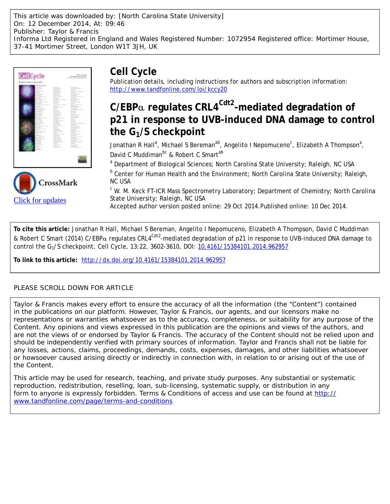This article was downloaded by: [North Carolina State University] On: 12 December 2014, At: 09:46 Publisher: Taylor & Francis Informa Ltd Registered in England and Wales Registered Number: 1072954 Registered office: Mortimer House, 37-41 Mortimer Street, London W1T 3JH, UK



[Click for updates](http://crossmark.crossref.org/dialog/?doi=10.4161/15384101.2014.962957&domain=pdf&date_stamp=2014-10-29)

# **Cell Cycle**

Publication details, including instructions for authors and subscription information: <http://www.tandfonline.com/loi/kccy20>

# **C/EBP**α **regulates CRL4Cdt2-mediated degradation of p21 in response to UVB-induced DNA damage to control the G1/S checkpoint**

Jonathan R Hall<sup>a</sup>, Michael S Bereman<sup>ab</sup>, Angelito I Nepomuceno<sup>c</sup>, Elizabeth A Thompson<sup>a</sup>, David C Muddiman<sup>bc</sup> & Robert C Smart<sup>ab</sup>

<sup>a</sup> Department of Biological Sciences; North Carolina State University; Raleigh, NC USA

<sup>b</sup> Center for Human Health and the Environment; North Carolina State University; Raleigh, NC USA

<sup>c</sup> W. M. Keck FT-ICR Mass Spectrometry Laboratory; Department of Chemistry; North Carolina State University; Raleigh, NC USA

Accepted author version posted online: 29 Oct 2014.Published online: 10 Dec 2014.

**To cite this article:** Jonathan R Hall, Michael S Bereman, Angelito I Nepomuceno, Elizabeth A Thompson, David C Muddiman & Robert C Smart (2014) C/EBPα regulates CRL4<sup>Cdt2</sup>-mediated degradation of p21 in response to UVB-induced DNA damage to control the G1/S checkpoint, Cell Cycle, 13:22, 3602-3610, DOI: [10.4161/15384101.2014.962957](http://www.tandfonline.com/action/showCitFormats?doi=10.4161/15384101.2014.962957)

**To link to this article:** <http://dx.doi.org/10.4161/15384101.2014.962957>

## PLEASE SCROLL DOWN FOR ARTICLE

Taylor & Francis makes every effort to ensure the accuracy of all the information (the "Content") contained in the publications on our platform. However, Taylor & Francis, our agents, and our licensors make no representations or warranties whatsoever as to the accuracy, completeness, or suitability for any purpose of the Content. Any opinions and views expressed in this publication are the opinions and views of the authors, and are not the views of or endorsed by Taylor & Francis. The accuracy of the Content should not be relied upon and should be independently verified with primary sources of information. Taylor and Francis shall not be liable for any losses, actions, claims, proceedings, demands, costs, expenses, damages, and other liabilities whatsoever or howsoever caused arising directly or indirectly in connection with, in relation to or arising out of the use of the Content.

This article may be used for research, teaching, and private study purposes. Any substantial or systematic reproduction, redistribution, reselling, loan, sub-licensing, systematic supply, or distribution in any form to anyone is expressly forbidden. Terms & Conditions of access and use can be found at [http://](http://www.tandfonline.com/page/terms-and-conditions) [www.tandfonline.com/page/terms-and-conditions](http://www.tandfonline.com/page/terms-and-conditions)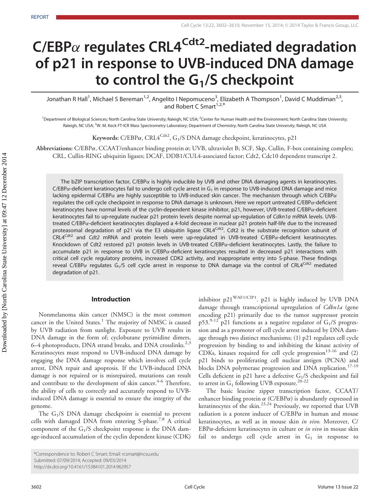# $C/EBP\alpha$  regulates CRL4<sup>Cdt2</sup>-mediated degradation of p21 in response to UVB-induced DNA damage to control the  $G_1/S$  checkpoint

Jonathan R Hall<sup>1</sup>, Michael S Bereman<sup>1,2</sup>, Angelito I Nepomuceno<sup>3</sup>, Elizabeth A Thompson<sup>1</sup>, David C Muddiman<sup>2,3</sup>, and Robert C Smart<sup>1,2,\*</sup>

<sup>1</sup>Department of Biological Sciences; North Carolina State University; Raleigh, NC USA; <sup>2</sup>Center for Human Health and the Environment; North Carolina State University; Raleigh, NC USA; <sup>3</sup>W. M. Keck FT-ICR Mass Spectrometry Laboratory; Department of Chemistry; North Carolina State University; Raleigh, NC USA

Keywords: C/EBP $\alpha$ , CRL $A^{Cdt2}$ , G<sub>1</sub>/S DNA damage checkpoint, keratinocytes, p21

Abbreviations: C/EBPa, CCAAT/enhancer binding protein  $\alpha$ ; UVB, ultraviolet B; SCF, Skp, Cullin, F-box containing complex; CRL, Cullin-RING ubiquitin ligases; DCAF, DDB1/CUL4-associated factor; Cdt2, Cdc10 dependent transcript 2.

The bZIP transcription factor, C/EBP $\alpha$  is highly inducible by UVB and other DNA damaging agents in keratinocytes.  $C/EBP\alpha$ -deficient keratinocytes fail to undergo cell cycle arrest in G<sub>1</sub> in response to UVB-induced DNA damage and mice lacking epidermal C/EBP $\alpha$  are highly susceptible to UVB-induced skin cancer. The mechanism through which C/EBP $\alpha$ regulates the cell cycle checkpoint in response to DNA damage is unknown. Here we report untreated C/EBP $\alpha$ -deficient keratinocytes have normal levels of the cyclin-dependent kinase inhibitor, p21, however, UVB-treated C/EBPa-deficient keratinocytes fail to up-regulate nuclear p21 protein levels despite normal up-regulation of Cdkn1a mRNA levels. UVBtreated C/EBPa-deficient keratinocytes displayed a 4-fold decrease in nuclear p21 protein half-life due to the increased proteasomal degradation of p21 via the E3 ubiquitin ligase CRL4<sup>Cdt2</sup>. Cdt2 is the substrate recognition subunit of  $CRL4<sup>Cdt2</sup>$  and  $Cdt2$  mRNA and protein levels were up-regulated in UVB-treated C/EBP $\alpha$ -deficient keratinocytes. Knockdown of Cdt2 restored p21 protein levels in UVB-treated C/EBPa-deficient keratinocytes. Lastly, the failure to accumulate p21 in response to UVB in C/EBPa-deficient keratinocytes resulted in decreased p21 interactions with critical cell cycle regulatory proteins, increased CDK2 activity, and inappropriate entry into S-phase. These findings reveal C/EBP $\alpha$  regulates G<sub>1</sub>/S cell cycle arrest in response to DNA damage via the control of CRL4<sup>Cdt2</sup> mediated degradation of p21.

#### Introduction

Nonmelanoma skin cancer (NMSC) is the most common cancer in the United States.<sup>1</sup> The majority of NMSC is caused by UVB radiation from sunlight. Exposure to UVB results in DNA damage in the form of; cyclobutane pyrimidine dimers, 6–4 photoproducts, DNA strand breaks, and DNA crosslinks.<sup>2,3</sup> Keratinocytes must respond to UVB-induced DNA damage by engaging the DNA damage response which involves cell cycle arrest, DNA repair and apoptosis. If the UVB-induced DNA damage is not repaired or is misrepaired, mutations can result and contribute to the development of skin cancer.<sup>4-6</sup> Therefore, the ability of cells to correctly and accurately respond to UVBinduced DNA damage is essential to ensure the integrity of the genome.

The  $G_1/S$  DNA damage checkpoint is essential to prevent cells with damaged DNA from entering S-phase.<sup>7,8</sup> A critical component of the  $G_1/S$  checkpoint response is the DNA damage-induced accumulation of the cyclin dependent kinase (CDK) inhibitor p21WAF1/CIP1. p21 is highly induced by UVB DNA damage through transcriptional upregulation of Cdkn1a (gene encoding p21) primarily due to the tumor suppressor protein p53.<sup>9-12</sup> p21 functions as a negative regulator of  $G_1/S$  progression and as a promoter of cell cycle arrest induced by DNA damage through two distinct mechanisms; (1) p21 regulates cell cycle progression by binding to and inhibiting the kinase activity of CDKs, kinases required for cell cycle progression $13-16$  and (2) p21 binds to proliferating cell nuclear antigen (PCNA) and blocks DNA polymerase progression and DNA replication.<sup>17-19</sup> Cells deficient in p21 have a defective  $G_1/S$  checkpoint and fail to arrest in  $G_1$  following UVB exposure.<sup>20-22</sup>

The basic leucine zipper transcription factor, CCAAT/ enhancer binding protein  $\alpha$  (C/EBP $\alpha$ ) is abundantly expressed in keratinocytes of the skin.<sup>23,24</sup> Previously, we reported that UVB radiation is a potent inducer of  $C/EBP\alpha$  in human and mouse keratinocytes, as well as in mouse skin *in vivo*. Moreover, C/  $EBP\alpha$ -deficient keratinocytes in culture or *in vivo* in mouse skin fail to undergo cell cycle arrest in  $G_1$  in response to

<sup>\*</sup>Correspondence to: Robert C Smart; Email: rcsmart@ncsu.edu

Submitted: 07/09/2014; Accepted: 09/03/2014

http://dx.doi.org/10.4161/15384101.2014.962957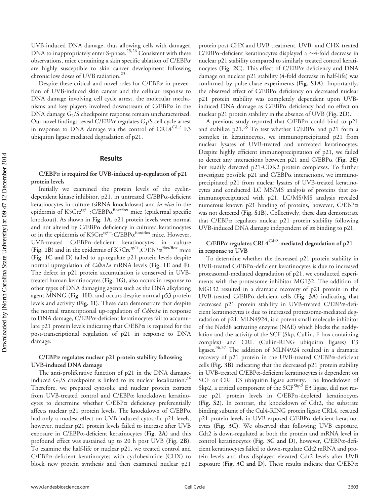UVB-induced DNA damage, thus allowing cells with damaged DNA to inappropriately enter S-phase.<sup>25,26</sup> Consistent with these observations, mice containing a skin specific ablation of  $C/EBP\alpha$ are highly susceptible to skin cancer development following chronic low doses of UVB radiation.<sup>25</sup>

Despite these critical and novel roles for  $C/EBP\alpha$  in prevention of UVB-induced skin cancer and the cellular response to DNA damage involving cell cycle arrest, the molecular mechanisms and key players involved downstream of  $C/EBP\alpha$  in the DNA damage  $G_1/S$  checkpoint response remain uncharacterized. Our novel findings reveal C/EBP $\alpha$  regulates  $G_1/S$  cell cycle arrest in response to DNA damage via the control of  $\text{CRL4}^{\text{Cd}t2}$  E3 ubiquitin ligase mediated degradation of p21.

#### **Results**

#### $C/EBP\alpha$  is required for UVB-induced up-regulation of p21 protein levels

Initially we examined the protein levels of the cyclindependent kinase inhibitor, p21, in untreated C/EBPa-deficient keratinocytes in culture (siRNA knockdown) and in vivo in the epidermis of  $K5Cre^{tg/+};C/EBP\alpha^{flox/flox}$  mice (epidermal specific knockout). As shown in Fig. 1A, p21 protein levels were normal and not altered by  $C/EBP\alpha$  deficiency in cultured keratinocytes or in the epidermis of K5Cre<sup>tg/+</sup>;C/EBP $\alpha^{\text{flox/flox}}$  mice. However, UVB-treated C/EBPa-deficient keratinocytes in culture (Fig. 1B) and in the epidermis of K5Cre<sup>tg/+</sup>;C/EBP $\alpha^{flowflow}$  mice (Fig. 1C and D) failed to up-regulate p21 protein levels despite normal upregulation of Cdkn1a mRNA levels (Fig. 1E and F). The defect in p21 protein accumulation is conserved in UVBtreated human keratinocytes (Fig. 1G), also occurs in response to other types of DNA damaging agents such as the DNA alkylating agent MNNG (Fig. 1H), and occurs despite normal p53 protein levels and activity (Fig. 1I). These data demonstrate that despite the normal transcriptional up-regulation of *Cdkn1a* in response to DNA damage, C/EBPa-deficient keratinocytes fail to accumulate  $p21$  protein levels indicating that  $C/EBP\alpha$  is required for the post-transcriptional regulation of p21 in response to DNA damage.

#### $C/EBP\alpha$  regulates nuclear p21 protein stability following UVB-induced DNA damage

The anti-proliferative function of p21 in the DNA damageinduced  $G_1/S$  checkpoint is linked to its nuclear localization.<sup>34</sup> Therefore, we prepared cytosolic and nuclear protein extracts from UVB-treated control and C/EBPa knockdown keratinocytes to determine whether C/EBPa deficiency preferentially affects nuclear  $p21$  protein levels. The knockdown of  $C/EBP\alpha$ had only a modest effect on UVB-induced cytosolic p21 levels, however, nuclear p21 protein levels failed to increase after UVB exposure in C/EBPa-deficient keratinocytes (Fig. 2A) and this profound effect was sustained up to 20 h post UVB (Fig. 2B). To examine the half-life or nuclear p21, we treated control and C/EBPa-deficient keratinocytes with cycloheximide (CHX) to block new protein synthesis and then examined nuclear p21

protein post-CHX and UVB treatment. UVB- and CHX-treated C/EBP $\alpha$ -deficient keratinocytes displayed a  $\sim$ 4-fold decrease in nuclear p21 stability compared to similarly treated control keratinocytes (Fig. 2C). This effect of C/EBPa deficiency and DNA damage on nuclear p21 stability (4-fold decrease in half-life) was confirmed by pulse-chase experiments (Fig. S1A). Importantly, the observed effect of C/EBPa deficiency on decreased nuclear p21 protein stability was completely dependent upon UVBinduced DNA damage as C/EBPa deficiency had no effect on nuclear p21 protein stability in the absence of UVB (Fig. 2D).

A previous study reported that  $C/EBP\alpha$  could bind to p21 and stabilize  $p21.^{35}$  To test whether C/EBP $\alpha$  and  $p21$  form a complex in keratinocytes, we immunoprecipitated p21 from nuclear lysates of UVB-treated and untreated keratinocytes. Despite highly efficient immunoprecipitation of p21, we failed to detect any interactions between p21 and  $C/EBP\alpha$  (Fig. 2E) but readily detected p21-CDK2 protein complexes. To further investigate possible p21 and  $C/EBP\alpha$  interactions, we immunoprecipitated p21 from nuclear lysates of UVB-treated keratinocytes and conducted LC MS/MS analysis of proteins that coimmunoprecipitated with p21. LC/MS/MS analysis revealed numerous known p21 binding of proteins, however, C/EBPa was not detected (Fig. S1B). Collectively, these data demonstrate that C/EBPa regulates nuclear p21 protein stability following UVB-induced DNA damage independent of its binding to p21.

### $C/EBP\alpha$  regulates CRL4<sup>Cdt2</sup>-mediated degradation of p21 in response to UVB

To determine whether the decreased p21 protein stability in UVB-treated C/EBPa-deficient keratinocytes is due to increased proteasomal-mediated degradation of p21, we conducted experiments with the proteasome inhibitor MG132. The addition of MG132 resulted in a dramatic recovery of p21 protein in the UVB-treated  $C/EBP\alpha$ -deficient cells (Fig. 3A) indicating that decreased p21 protein stability in UVB-treated C/EBPa-deficient keratinocytes is due to increased proteasome-mediated degradation of p21. MLN4924, is a potent small molecule inhibitor of the Nedd8 activating enzyme (NAE) which blocks the neddylation and the activity of the SCF (Skp, Cullin, F-box containing complex) and CRL (Cullin-RING ubiquitin ligases) E3 ligases.36,37 The addition of MLN4924 resulted in a dramatic recovery of  $p21$  protein in the UVB-treated C/EBP $\alpha$ -deficient cells (Fig. 3B) indicating that the decreased p21 protein stability in UVB-treated C/EBPa-deficient keratinocytes is dependent on SCF or CRL E3 ubiquitin ligase activity. The knockdown of Skp2, a critical component of the SCF<sup>Skp2</sup> E3 ligase, did not rescue p21 protein levels in C/EBPa-depleted keratinocytes (Fig. S2). In contrast, the knockdown of Cdt2, the substrate binding subunit of the Cul4-RING protein ligase CRL4, rescued p21 protein levels in UVB-exposed C/EBPa-deficient keratinocytes (Fig. 3C). We observed that following UVB exposure, Cdt2 is down-regulated at both the protein and mRNA level in control keratinocytes (Fig. 3C and D), however,  $C/EBP\alpha$ -deficient keratinocytes failed to down-regulate Cdt2 mRNA and protein levels and thus displayed elevated Cdt2 levels after UVB exposure (Fig. 3C and D). These results indicate that  $C/EBP\alpha$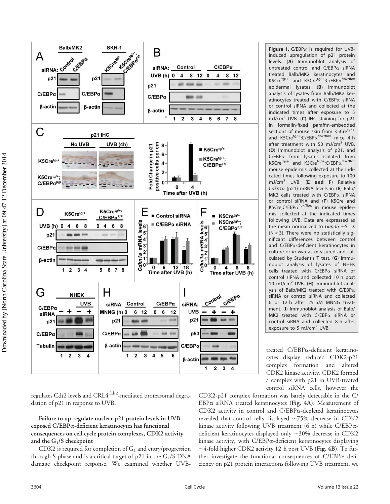

Figure 1.  $C/EBP\alpha$  is required for UVBinduced upregulation of p21 protein levels. (A) Immunoblot analysis of untreated control and  $C/EBP\alpha$  siRNA treated Balb/MK2 keratinocytes and K5Cre<sup>tg/+</sup> and K5Cre<sup>tg/+</sup>;C/EBP $\alpha^{flox/flow}$ epidermal lysates. (B) Immunoblot analysis of lysates from Balb/MK2 keratinocytes treated with  $C/EBP\alpha$  siRNA or control siRNA and collected at the indicated times after exposure to 5 mJ/cm<sup>2</sup> UVB. (C) IHC staining for p21 in formalin-fixed paraffin-embedded sections of mouse skin from K5Cre<sup>tg/+</sup> and  $K5Cre^{tg/+}$ ;C/EBP $\alpha$ <sup>flox/flox</sup> mice 4 h after treatment with 50 mJ/cm<sup>2</sup> UVB. (D) Immunoblot analysis of p21, and  $C/EBP\alpha$  from lysates isolated from K5Cre<sup>tg/+</sup> and K5Cre<sup>tg/+</sup>;C/EBP $\alpha$ <sup>flox/flox</sup> mouse epidermis collected at the indicated times following exposure to 100 mJ/cm<sup>2</sup> UVB. (**E** and F) Relative Cdkn1a (p21) mRNA levels in (E) Balb/ MK2 cells treated with  $C/EBP\alpha$  siRNA or control siRNA and (F) K5Cre and K5Cre;C/EBP $\alpha^{\text{flox/flox}}$  in mouse epidermis collected at the indicated times following UVB. Data are expressed as the mean normalized to Gapdh  $\pm$ S .D.  $(N \geq 3)$ . There were no statistically significant differences between control and C/EBPa-deficient keratinocytes in culture or in vivo as measured and calculated by Student's T test. (G) Immunoblot analysis of lysates of NHEK cells treated with  $C/EBP\alpha$  siRNA or control siRNA and collected 10 h post 10 mJ/cm<sup>2</sup> UVB. (H) Immunoblot analysis of Balb/MK2 treated with  $C/EBP\alpha$ siRNA or control siRNA and collected 6 or 12 h after 25  $\mu$ M MNNG treatment. (I) Immunoblot analysis of Balb/ MK2 treated with  $C/EBP\alpha$  siRNA or control siRNA and collected 8 h after exposure to 5 mJ/cm<sup>2</sup> UVB.

treated C/EBPa-deficient keratinocytes display reduced CDK2-p21 complex formation and altered CDK2 kinase activity. CDK2 formed a complex with p21 in UVB-treated control siRNA cells, however the

regulates Cdt2 levels and CRL4<sup>Cdt2</sup>-mediated proteasomal degradation of p21 in response to UVB.

Failure to up-regulate nuclear p21 protein levels in UVBexposed C/EBPa-deficient keratinocytes has functional consequences on cell cycle protein complexes, CDK2 activity and the  $G_1/S$  checkpoint

CDK2 is required for completion of  $G_1$  and entry/progression through S phase and is a critical target of  $p21$  in the  $G_1/S$  DNA damage checkpoint response. We examined whether UVB-

CDK2-p21 complex formation was barely detectable in the C/  $EBP\alpha$  siRNA treated keratinocytes (Fig. 4A). Measurement of CDK2 activity in control and C/EBPa-depleted keratinocytes revealed that control cells displayed  $\sim$ 75% decrease in CDK2 kinase activity following UVB treatment (6 h) while  $C/EBP\alpha$ deficient keratinocytes displayed only  $\sim$ 30% decrease in CDK2 kinase activity, with C/EBPa-deficient keratinocytes displaying  $\sim$ 4-fold higher CDK2 activity 12 h post UVB (Fig. 4B). To further investigate the functional consequences of  $C/EBP\alpha$  deficiency on p21 protein interactions following UVB treatment, we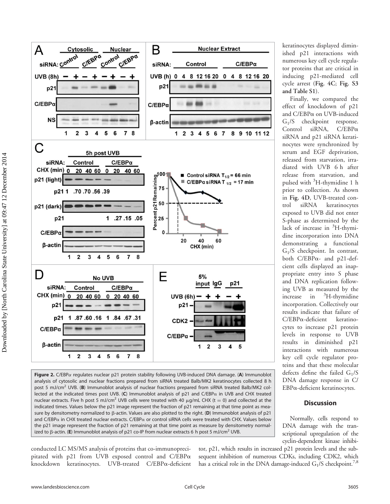

Figure 2. C/EBPa regulates nuclear p21 protein stability following UVB-induced DNA damage. (A) Immunoblot analysis of cytosolic and nuclear fractions prepared from siRNA treated Balb/MK2 keratinocytes collected 8 h post 5 mJ/cm<sup>2</sup> UVB. (B) Immunoblot analysis of nuclear fractions prepared from siRNA treated Balb/MK2 collected at the indicated times post UVB. (C) Immunoblot analysis of p21 and C/EBP $\alpha$  in UVB and CHX treated nuclear extracts. Five h post 5 mJ/cm<sup>2</sup> UVB cells were treated with 40  $\mu$ g/mL CHX (t = 0) and collected at the indicated times. Values below the p21 image represent the fraction of p21 remaining at that time point as measure by densitometry normalized to  $\beta$ -actin. Values are also plotted to the right. (D) Immunoblot analysis of p21 and C/EBP $\alpha$  in CHX treated nuclear extracts. C/EBP $\alpha$  or control siRNA cells were treated with CHX. Values below the p21 image represent the fraction of p21 remaining at that time point as measure by densitometry normalized to  $\beta$ -actin. (E) Immunoblot analysis of p21 co-IP from nuclear extracts 6 h post 5 mJ/cm<sup>2</sup> UVB.

conducted LC MS/MS analysis of proteins that co-immunoprecipitated with p21 from UVB exposed control and C/EBPa knockdown keratinocytes. UVB-treated C/EBPa-deficient

tor, p21, which results in increased p21 protein levels and the subsequent inhibition of numerous CDKs, including CDK2, which has a critical role in the DNA damage-induced  $G_1/S$  checkpoint.<sup>7,8</sup>

keratinocytes displayed diminished p21 interactions with numerous key cell cycle regulator proteins that are critical in inducing p21-mediated cell cycle arrest (Fig. 4C; Fig. S3 and Table S1).

Finally, we compared the effect of knockdown of p21 and C/EBPa on UVB-induced G1/S checkpoint response. Control siRNA, C/EBPa siRNA and p21 siRNA keratinocytes were synchronized by serum and EGF deprivation, released from starvation, irradiated with UVB 6 h after release from starvation, and pulsed with <sup>3</sup> H-thymidine 1 h prior to collection. As shown in Fig. 4D, UVB-treated control siRNA keratinocytes exposed to UVB did not enter S-phase as determined by the lack of increase in <sup>3</sup>H-thymidine incorporation into DNA demonstrating a functional G1/S checkpoint. In contrast, both C/EBPa- and p21-defcient cells displayed an inappropriate entry into S phase and DNA replication following UVB as measured by the increase in <sup>3</sup>  ${}^{3}$ H-thymidine incorporation. Collectively our results indicate that failure of C/EBPa-deficient keratinocytes to increase p21 protein levels in response to UVB results in diminished p21 interactions with numerous key cell cycle regulator proteins and that these molecular defects define the failed  $G_1/S$ DNA damage response in C/ EBPa-deficient keratinocytes.

#### **Discussion**

Normally, cells respond to DNA damage with the transcriptional upregulation of the cyclin-dependent kinase inhibi-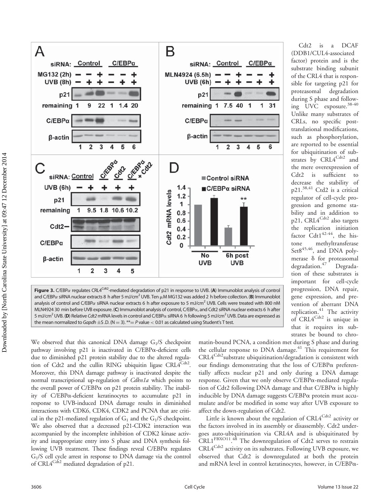

Figure 3. C/EBP $\alpha$  regulates CRL4<sup>Cdt2</sup>-mediated degradation of p21 in response to UVB. (A) Immunoblot analysis of control and C/EBP $\alpha$  siRNA nuclear extracts 8 h after 5 mJ/cm<sup>2</sup> UVB. Ten  $\mu$ M MG132 was added 2 h before collection. (B) Immunoblot analysis of control and C/EBP $\alpha$  siRNA nuclear extracts 6 h after exposure to 5 mJ/cm<sup>2</sup> UVB. Cells were treated with 800 nM MLN4924 30 min before UVB exposure. (C) Immunoblot analysis of control, C/EBP $\alpha$ , and Cdt2 siRNA nuclear extracts 6 h after 5 mJ/cm<sup>2</sup> UVB. (D) Relative Cdt2 mRNA levels in control and C/EBPα siRNA 6 h following 5 mJ/cm<sup>2</sup> UVB. Data are expressed as the mean normalized to Gapdh  $\pm$ S.D. (N = 3). \*\*= P value < 0.01 as calculated using Student's T test.

of the CRL4 that is responsible for targeting p21 for proteasomal degradation during S phase and following UVC exposure.38-40 Unlike many substrates of CRLs, no specific posttranslational modifications, such as phosphorylation, are reported to be essential for ubiquitination of substrates by CRL4<sup>Cdt2</sup> and the mere overexpression of Cdt2 is sufficient to decrease the stability of p21.38,41 Ctd2 is a critical regulator of cell-cycle progression and genome stability and in addition to p21, CRL4<sup>Cdt2</sup> also targets the replication initiation factor  $\text{Cdt1}^{42-44}$ , the histone methyltransferase  $Sets^{45,46}$ , and DNA polymerase  $\delta$  for proteasomal degradation.<sup>47</sup> Degradation of these substrates is important for cell-cycle progression, DNA repair, gene expression, and prevention of aberrant DNA replication.<sup>41</sup> The activity of  $CRL4^{Cdt2}$  is unique in that it requires its substrates be bound to chro-

Cdt2 is a DCAF (DDB1/CUL4-associated factor) protein and is the substrate binding subunit

We observed that this canonical DNA damage  $G_1/S$  checkpoint pathway involving p21 is inactivated in C/EBPa-deficient cells due to diminished p21 protein stability due to the altered regulation of Cdt2 and the cullin RING ubiquitin ligase  $CRLA^{Cdt2}$ . Moreover, this DNA damage pathway is inactivated despite the normal transcriptional up-regulation of *Cdkn1a* which points to the overall power of C/EBP $\alpha$  on p21 protein stability. The inability of C/EBPa-deficient keratinocytes to accumulate p21 in response to UVB-induced DNA damage results in diminished interactions with CDK6, CDK4, CDK2 and PCNA that are critical in the p21-mediated regulation of  $G_1$  and the  $G_1/S$  checkpoint. We also observed that a decreased p21-CDK2 interaction was accompanied by the incomplete inhibition of CDK2 kinase activity and inappropriate entry into S phase and DNA synthesis following UVB treatment. These findings reveal C/EBPa regulates G1/S cell cycle arrest in response to DNA damage via the control of CRL4<sup>Cdt2</sup> mediated degradation of p21.

matin-bound PCNA, a condition met during S phase and during the cellular response to DNA damage. $41$  This requirement for  $\text{CRL4}^{\text{Cdt2}}$ substrate ubiquitination/degradation is consistent with our findings demonstrating that the loss of  $C/EBP\alpha$  preferentially affects nuclear p21 and only during a DNA damage response. Given that we only observe  $C/EBP\alpha$ -mediated regulation of Cdt2 following DNA damage and that  $C/EBP\alpha$  is highly inducible by DNA damage suggests C/EBPa protein must accumulate and/or be modified in some way after UVB exposure to affect the down-regulation of Cdt2.

Little is known about the regulation of  $\text{CRL4}^{\text{Cd}t2}$  activity or the factors involved in its assembly or disassembly. Cdt2 undergoes auto-ubiquitination via CRL4A and is ubiquitinated by CRL1<sup>FBXO11</sup>.<sup>48</sup> The downregulation of Cdt2 serves to restrain  $CRL4^{Cdt2}$  activity on its substrates. Following UVB exposure, we observed that Cdt2 is downregulated at both the protein and mRNA level in control keratinocytes, however, in C/EBPa-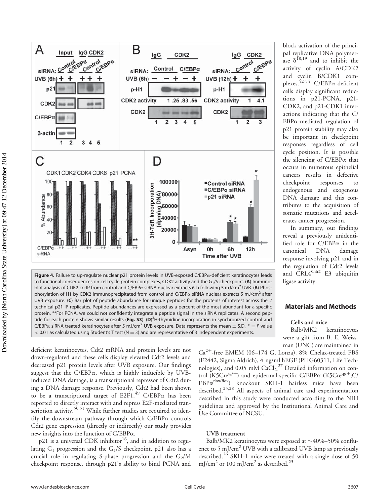



Figure 4. Failure to up-regulate nuclear p21 protein levels in UVB-exposed C/EBPa-deficient keratinocytes leads to functional consequences on cell cycle protein complexes, CDK2 activity and the  $G_1/S$  checkpoint. (A) Immunoblot analysis of CDK2 co-IP from control and C/EBP $\alpha$  siRNA nuclear extracts 6 h following 5 mJ/cm<sup>2</sup> UVB. (B) Phosphorylation of H1 by CDK2 immunoprecipitated from control and  $C/EBP\alpha$  siRNA nuclear extracts 5 mJ/cm<sup>2</sup> after UVB exposure. (C) Bar plot of peptide abundance for unique peptides for the proteins of interest across the 2 technical p21 IP replicates. Peptide abundances are expressed as a percent of the most abundant for a specific protein. \*\*For PCNA, we could not confidently integrate a peptide signal in the siRNA replicates. A second peptide for each protein shows similar results (Fig. S3). (D)<sup>3</sup>H-thymidine incorporation in synchronized control and  $C/EBP\alpha$  siRNA treated keratinocytes after 5 mJ/cm<sup>2</sup> UVB exposure. Data represents the mean  $\pm$  S.D.,  $* = P$  value  $<$  0.01 as calculated using Student's T test (N = 3) and are representative of 3 independent experiments.

deficient keratinocytes, Cdt2 mRNA and protein levels are not down-regulated and these cells display elevated Cdt2 levels and decreased p21 protein levels after UVB exposure. Our findings suggest that the  $C/EBP\alpha$ , which is highly inducible by UVBinduced DNA damage, is a transcriptional repressor of Cdt2 during a DNA damage response. Previously, Cdt2 had been shown to be a transcriptional target of E2F1.<sup>49</sup> C/EBP $\alpha$  has been reported to directly interact with and repress E2F-mediated transcription activity.<sup>50,51</sup> While further studies are required to identify the downstream pathway through which  $C/EBP\alpha$  controls Cdt2 gene expression (directly or indirectly) our study provides new insights into the function of C/EBPa.

 $p21$  is a universal CDK inhibitor<sup>16</sup>, and in addition to regulating  $G_1$  progression and the  $G_1/S$  checkpoint, p21 also has a crucial role in regulating S-phase progression and the  $G_2/M$ checkpoint response, through p21's ability to bind PCNA and block activation of the principal replicative DNA polymerase  $\delta^{18,19}$  and to inhibit the activity of cyclin A/CDK2 and cyclin B/CDK1 complexes.<sup>52-54</sup> C/EBP $\alpha$ -deficient cells display significant reductions in p21-PCNA, p21- CDK2, and p21-CDK1 interactions indicating that the C/ EBPa-mediated regulation of p21 protein stability may also be important in checkpoint responses regardless of cell cycle position. It is possible the silencing of  $C/EBP\alpha$  that occurs in numerous epithelial cancers results in defective checkpoint responses endogenous and exogenous DNA damage and this contributes to the acquisition of somatic mutations and accelerates cancer progression.

In summary, our findings reveal a previously unidentified role for C/EBPa in the canonical DNA damage response involving p21 and in the regulation of Cdt2 levels and  $CRL4^{Cdt2}$  E3 ubiquitin ligase activity.

#### Materials and Methods

#### Cells and mice

Balb/MK2 keratinocytes were a gift from B. E. Weissman (UNC) are maintained in

 $Ca^{2+}$ -free EMEM (06–174 G, Lonza), 8% Chelax-treated FBS (F2442, Sigma Aldrich), 4 ng/ml hEGF (PHG60311, Life Technologies), and  $0.05$  mM  $CaCl<sub>2</sub><sup>27</sup>$  Detailed information on control (K5Cre<sup>tg/+</sup>) and epidermal-specific C/EBP $\alpha$  (K5Cre<sup>tg/+</sup>;C/  $EBP\alpha^{flow/flow}$  knockout SKH-1 hairless mice have been described.<sup>25,28</sup> All aspects of animal care and experimentation described in this study were conducted according to the NIH guidelines and approved by the Institutional Animal Care and Use Committee of NCSU.

#### UVB treatment

Balb/MK2 keratinocytes were exposed at  $\sim$ 40%–50% confluence to 5 mJ/cm<sup>2</sup> UVB with a calibrated UVB lamp as previously described.<sup>26</sup> SKH-1 mice were treated with a single dose of 50 mJ/cm<sup>2</sup> or 100 mJ/cm<sup>2</sup> as described.<sup>25</sup>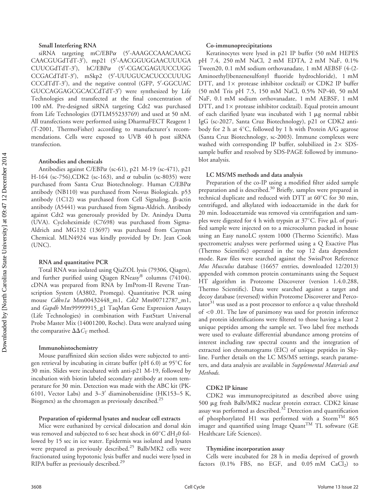#### Small Interfering RNA

siRNA targeting  $mC/EBP\alpha$  (5'-AAAGCCAAACAACG CAACGUGdTdT-3'), mp21 (5'-AACGGUGGAACUUUGA CUUCGdTdT-3'), hC/EBPa (5'-CGACGAGUUCCUGG CCGACdTdT-3'), mSkp2 (5'-UUUGUCACUCCCUUUG CCCdTdT-3'), and the negative control (GFP, 5'-GGCUAC GUCCAGGAGCGCACCdTdT-3') were synthesized by Life Technologies and transfected at the final concentration of 100 nM. Pre-designed siRNA targeting Cdt2 was purchased from Life Technologies (DTLM55233769) and used at 50 nM. All transfections were performed using DharmaFECT Reagent 1 (T-2001, ThermoFisher) according to manufacturer's recommendations. Cells were exposed to UVB 40 h post siRNA transfection.

#### Antibodies and chemicals

Antibodies against C/EBPa (sc-61), p21 M-19 (sc-471), p21 H-164 (sc-756),CDK2 (sc-163), and  $\alpha$  tubulin (sc-8035) were purchased from Santa Cruz Biotechnology. Human C/EBPa antibody (NB110) was purchased from Novus Biologicals. p53 antibody  $(1C12)$  was purchased from Cell Signaling.  $\beta$ -actin antibody (A5441) was purchased from Sigma-Aldrich. Antibody against Cdt2 was generously provided by Dr. Anindya Dutta (UVA). Cycloheximide (C7698) was purchased from Sigma-Aldrich and MG132 (13697) was purchased from Cayman Chemical. MLN4924 was kindly provided by Dr. Jean Cook (UNC).

#### RNA and quantitative PCR

Total RNA was isolated using QiaZOL lysis (79306, Qiagen), and further purified using Qiagen RNeasy® columns  $(74104)$ . cDNA was prepared from RNA by ImProm-II Reverse Transcription System (A3802, Promega). Quantitative PCR using mouse Cdkn1a Mm00432448\_m1, Cdt2 Mm00712787\_m1, and Gapdh Mm99999915\_g1 TaqMan Gene Expression Assays (Life Technologies) in combination with FastStart Universal Probe Master Mix (14001200, Roche). Data were analyzed using the comparative  $\Delta \Delta C_T$  method.

#### Immunohistochemistry

Mouse paraffinized skin section slides were subjected to antigen retrieval by incubating in citrate buffer (pH 6.0) at 95°C for 30 min. Slides were incubated with anti-p21 M-19, followed by incubation with biotin labeled secondary antibody at room temperature for 30 min. Detection was made with the ABC kit (PK-6101, Vector Labs) and  $3-3'$  diaminobenzidine (HK153-5 K, Biogenex) as the chromagen as previously described.<sup>25</sup>

#### Preparation of epidermal lysates and nuclear cell extracts

Mice were euthanized by cervical dislocation and dorsal skin was removed and subjected to 6 sec heat shock in  $60^{\circ}$ C dH<sub>2</sub>0 followed by 15 sec in ice water. Epidermis was isolated and lysates were prepared as previously described.<sup>25</sup> Balb/MK2 cells were fractionated using hypotonic lysis buffer and nuclei were lysed in RIPA buffer as previously described.<sup>29</sup>

#### Co-immunoprecipitations

Keratinocytes were lysed in p21 IP buffer (50 mM HEPES pH 7.4, 250 mM NaCl, 2 mM EDTA, 2 mM NaF, 0.1% Tween20, 0.1 mM sodium orthovanadate, 1 mM AEBSF (4-(2- Aminoethyl)benzenesulfonyl fluoride hydrochloride), 1 mM DTT, and  $1 \times$  protease inhibitor cocktail) or CDK2 IP buffer (50 mM Tris pH 7.5, 150 mM NaCl, 0.5% NP-40, 50 mM NaF, 0.1 mM sodium orthovanadate, 1 mM AEBSF, 1 mM DTT, and  $1 \times$  protease inhibitor cocktail). Equal protein amount of each clarified lysate was incubated with  $1 \mu$ g normal rabbit IgG (sc-2027, Santa Cruz Biotechnology), p21 or CDK2 antibody for 2 h at 4°C, followed by 1 h with Protein A/G agarose (Santa Cruz Biotechnology, sc-2003). Immune complexes were washed with corresponding IP buffer, solubilized in  $2 \times$  SDSsample buffer and resolved by SDS-PAGE followed by immunoblot analysis.

#### LC MS/MS methods and data analysis

Preparation of the co-IP using a modified filter aided sample preparation and is described.<sup>30</sup> Briefly, samples were prepared in technical duplicate and reduced with DTT at  $60^{\circ} \text{C}$  for 30 min, centrifuged, and alkylated with iodoacetamide in the dark for 20 min. Iodoacetamide was removed via centrifugation and samples were digested for 4 h with trypsin at  $37^{\circ}$ C. Five  $\mu$ L of purified sample were injected on to a microcolumn packed in house using an Easy nanoLC system 1000 (Thermo Scientific). Mass spectrometric analyses were performed using a Q Exactive Plus (Thermo Scientific) operated in the top 12 data dependent mode. Raw files were searched against the SwissProt Reference Mus Musculus database (16657 entries, downloaded 12/2013) appended with common protein contaminants using the Sequest HT algorithm in Proteome Discoverer (version 1.4.0.288, Thermo Scientific). Data were searched against a target and decoy database (reversed) within Proteome Discoverer and Percolator $31$  was used as a post processor to enforce a q value threshold of <0 .01. The law of parsimony was used for protein inference and protein identifications were filtered to those having a least 2 unique peptides among the sample set. Two label free methods were used to evaluate differential abundance among proteins of interest including raw spectral counts and the integration of extracted ion chromatograms (EIC) of unique peptides in Skyline. Further details on the LC MS/MS settings, search parameters, and data analysis are available in Supplemental Materials and Methods.

#### CDK2 IP kinase

CDK2 was immunoprecipitated as described above using 500 mg fresh Balb/MK2 nuclear protein extract. CDK2 kinase assay was performed as described.<sup>32</sup> Detection and quantification of phosphorylated H1 was performed with a Storm<sup>TM</sup> 865 imager and quantified using Image Quant<sup>TM</sup> TL software (GE Healthcare Life Sciences).

#### Thymidine incorporation assay

Cells were incubated for 28 h in media deprived of growth factors  $(0.1\%$  FBS, no EGF, and  $0.05$  mM CaCl<sub>2</sub>) to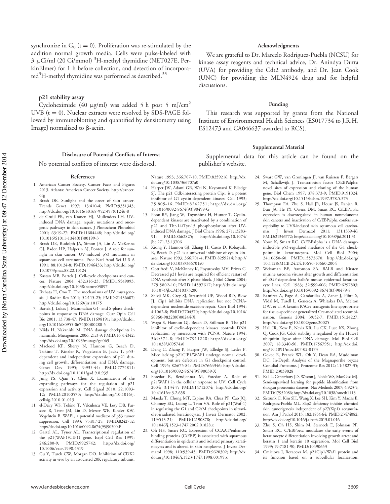synchronize in  $G_0$  (t = 0). Proliferation was re-stimulated by the addition normal growth media. Cells were pulse-labeled with 3 µCi/ml (20 Ci/mmol) <sup>3</sup>H-methyl thymidine (NET027E, PerkinElmer) for 1 h before collection, and detection of incorporated<sup>3</sup>H-methyl thymidine was performed as described.<sup>33</sup>

#### p21 stability assay

Cycloheximide (40  $\mu$ g/ml) was added 5 h post 5 mJ/cm<sup>2</sup> UVB ( $t = 0$ ). Nuclear extracts were resolved by SDS-PAGE followed by immunoblotting and quantified by densitometry using ImageJ normalized to  $\beta$ -actin.

#### Disclosure of Potential Conflicts of Interest

No potential conflicts of interest were disclosed.

#### References

- 1. American Cancer Society. Cancer Facts and Figures 2013. Atlanta: American Cancer Society. http://cancer. org
- 2. Brash DE. Sunlight and the onset of skin cancer. Trends Genet 1997; 13:410-4; PMID:9351343; http://dx.doi.org/10.1016/S0168-9525(97)01246-8
- 3. de Gruijl FR, van Kranen HJ, Mullenders LH. UVinduced DNA damage, repair, mutations and oncogenic pathways in skin cancer. J Photochem Photobiol 2001; 63:19-27; PMID:11684448; http://dx.doi.org/ 10.1016/S1011-1344(01)00199-3
- 4. Brash DE, Rudolph JA, Simon JA, Lin A, McKenna GJ, Baden HP, Halperin AJ, Ponten J. A role for sunlight in skin cancer: UV-induced p53 mutations in squamous cell carcinoma. Proc Natl Acad Sci U S A 1991; 88:10124-8; PMID:1946433; http://dx.doi.org/ 10.1073/pnas.88.22.10124
- 5. Kastan MB, Bartek J. Cell-cycle checkpoints and cancer. Nature 2004; 432:316-23; PMID:15549093; http://dx.doi.org/10.1038/nature03097
- 6. Ikehata H, Ono T. The mechanisms of UV mutagenesis. J Radiat Res 2011; 52:115-25; PMID:21436607; http://dx.doi.org/10.1269/jrr.10175
- 7. Bartek J, Lukas J. Mammalian G1- and S-phase checkpoints in response to DNA damage. Curr Opin Cell Bio 2001; 13:738-47; PMID:11698191; http://dx.doi. org/10.1016/S0955-0674(00)00280-5
- 8. Niida H, Nakanishi M. DNA damage checkpoints in mammals. Mutagenesis 2006; 21:3-9; PMID:16314342; http://dx.doi.org/10.1093/mutage/gei063
- 9. Macleod KF, Sherry N, Hannon G, Beach D, Tokino T, Kinzler K, Vogelstein B, Jacks T. p53 dependent and independent expression of p21 during cell growth, differentiation, and DNA damage. Genes Dev 1995; 9:935-44; PMID:7774811; http://dx.doi.org/10.1101/gad.9.8.935
- 10. Jung YS, Qian Y, Chen X. Examination of the expanding pathways for the regulation of p21 expression and activity. Cell Signal 2010; 22:1003- 12; PMID:20100570; http://dx.doi.org/10.1016/j. cellsig.2010.01.013
- 11. el-Deiry WS, Tokino T, Velculescu VE, Levy DB, Parsons R, Trent JM, Lin D, Mercer WE, Kinzler KW, Vogelstein B. WAF1, a potential mediator of p53 tumor suppression. Cell 1993; 75:817-25; PMID:8242752; http://dx.doi.org/10.1016/0092-8674(93)90500-P
- 12. Gartel AL, Tyner AL. Transcriptional regulation of the p21(WAF1/CIP1) gene. Expl Cell Res 1999; 246:280-9; PMID:9925742; http://dx.doi.org/ 10.1006/excr.1998.4319
- 13. Gu Y, Turck CW, Morgan DO. Inhibition of CDK2 activity in vivo by an associated 20K regulatory subunit.

Nature 1993; 366:707-10; PMID:8259216; http://dx. doi.org/10.1038/366707a0

- 14. Harper JW, Adami GR, Wei N, Keyomarsi K, Elledge SJ. The p21 Cdk-interacting protein Cip1 is a potent inhibitor of G1 cyclin-dependent kinases. Cell 1993; 75:805-16; PMID:8242751; http://dx.doi.org/ 10.1016/0092-8674(93)90499-G
- 15. Poon RY, Jiang W, Toyoshima H, Hunter T. Cyclindependent kinases are inactivated by a combination of p21 and Thr-14/Tyr-15 phosphorylation after UVinduced DNA damage. J Biol Chem 1996; 271:13283- 91; PMID:8662825; http://dx.doi.org/10.1074/ jbc.271.23.13706
- 16. Xiong Y, Hannon GJ, Zhang H, Casso D, Kobayashi R, Beach D. p21 is a universal inhibitor of cyclin kinases. Nature 1993; 366:701-4; PMID:8259214; http:// dx.doi.org/10.1038/366701a0
- 17. Gottifredi V, McKinney K, Poyurovsky MV, Prives C. Decreased p21 levels are required for efficient restart of DNA synthesis after S phase block. J Biol Chem 2004; 279:5802-10; PMID:14597617; http://dx.doi.org/ 10.1074/jbc.M310373200
- 18. Shivji MK, Grey SJ, Strausfeld UP, Wood RD, Blow JJ. Cip1 inhibits DNA replication but not PCNAdependent nucleotide excision-repair. Curr Biol 1994; 4:1062-8; PMID:7704570; http://dx.doi.org/10.1016/ S0960-9822(00)00244-X
- 19. Waga S, Hannon GJ, Beach D, Stillman B. The p21 inhibitor of cyclin-dependent kinases controls DNA replication by interaction with PCNA. Nature 1994; 369:574-8; PMID:7911228; http://dx.doi.org/ 10.1038/369574a0
- 20. Deng C, Zhang P, Harper JW, Elledge SJ, Leder P. Mice lacking p21CIP1/WAF1 undergo normal development, but are defective in G1 checkpoint control. Cell 1995; 82:675-84; PMID:7664346; http://dx.doi. org/10.1016/0092-8674(95)90039-X
- 21. Fotedar R, Bendjennat M, Fotedar A. Role of p21WAF1 in the cellular response to UV. Cell Cycle 2004; 3:134-7; PMID:14712074; http://dx.doi.org/ 10.4161/cc.3.2.658
- 22. Maeda T, Chong MT, Espino RA, Chua PP, Cao JQ, Chomey EG, Luong L, Tron VA. Role of p21(Waf-1) in regulating the G1 and G2/M checkpoints in ultraviolet-irradiated keratinocytes. J Invest Dermatol 2002;<br>119:513-21; PMID:12190878; http://dx.doi.org/ 119:513-21; PMID:12190878; 10.1046/j.1523-1747.2002.01828.x
- 23. Oh HS, Smart RC. Expression of CCAAT/enhancer binding proteins (C/EBP) is associated with squamous differentiation in epidermis and isolated primary keratinocytes and is altered in skin neoplasms. J Invest Dermatol 1998; 110:939-45; PMID:9620302; http://dx. doi.org/10.1046/j.1523-1747.1998.00199.x

#### Acknowledgments

We are grateful to Dr. Marcelo Rodriguez-Puebla (NCSU) for kinase assay reagents and technical advice, Dr. Anindya Dutta (UVA) for providing the Cdt2 antibody, and Dr. Jean Cook (UNC) for providing the MLN4924 drug and for helpful discussions.

#### Funding

This research was supported by grants from the National Institute of Environmental Health Sciences (ES017734 to J.R.H, ES12473 and CA046637 awarded to RCS).

#### Supplemental Material

Supplemental data for this article can be found on the publisher's website.

- 24. Swart GW, van Groningen JJ, van Ruissen F, Bergers M, Schalkwijk J. Transcription factor C/EBPalpha: novel sites of expression and cloning of the human gene. Biol Chem 1997; 378:373-9; PMID:9191024; http://dx.doi.org/10.1515/bchm.1997.378.5.373
- 25. Thompson EA, Zhu S, Hall JR, House JS, Ranjan R, Burr JA, He YY, Owens DM, Smart RC. C/EBPalpha expression is downregulated in human nonmelanoma skin cancers and inactivation of C/EBPalpha confers susceptibility to UVB-induced skin squamous cell carcinomas. J Invest Dermatol 2011; 131:1339-46; PMID:21346772; http://dx.doi.org/10.1038/jid.2011.31
- 26. Yoon K, Smart RC. C/EBPalpha is a DNA damageinducible p53-regulated mediator of the G1 checkpoint in keratinocytes. Mol Cell Biol 2004; 24:10650-60; PMID:15572670; http://dx.doi.org/ 10.1128/MCB.24.24.10650-10660.2004
- 27. Weissman BE, Aaronson SA. BALB and Kirsten murine sarcoma viruses alter growth and differentiation of EGF-dependent balb/c mouse epidermal keratinocyte lines. Cell 1983; 32:599-606; PMID:6297803; http://dx.doi.org/10.1016/0092-8674(83)90479-8
- 28. Ramirez A, Page A, Gandarillas A, Zanet J, Pibre S, Vidal M, Tusell L, Genesca A, Whitaker DA, Melton DW, et al. A keratin K5Cre transgenic line appropriate for tissue-specific or generalized Cre-mediated recombination. Genesis 2004; 39:52-7; PMID:15124227; http://dx.doi.org/10.1002/gene.20025
- 29. Hall JR, Kow E, Nevis KR, Lu CK, Luce KS, Zhong Q, Cook JG. Cdc6 stability is regulated by the Huwe1 ubiquitin ligase after DNA damage. Mol Biol Cell 2007; 18:3340-50; PMID:17567951; http://dx.doi. org/10.1091/mbc.E07-02-0173
- 30. Gokce E, Franck WL, Oh Y, Dean RA, Muddiman DC. In-Depth Analysis of the Magnaporthe oryzae Conidial Proteome. J Proteome Res 2012; 11:5827-35; PMID:23039028
- 31. Kall L, Canterbury JD, Weston J, Noble WS, MacCoss MJ. Semi-supervised learning for peptide identification from shotgun proteomics datasets. Nat Methods 2007; 4:923-5; PMID:17952086; http://dx.doi.org/10.1038/nmeth1113
- 32. Sistrunk C, Kim SH, Wang X, Lee SH, Kim Y, Macias E, Rodriguez-Puebla ML. Skp2 deficiency inhibits chemical skin tumorigenesis independent of p27(Kip1) accumulation. Am J Pathol 2013; 182:1854-64; PMID:23474082; http://dx.doi.org/10.1016/j.ajpath.2013.01.016
- 33. Zhu S, Oh HS, Shim M, Sterneck E, Johnson PF, Smart RC. C/EBPbeta modulates the early events of keratinocyte differentiation involving growth arrest and keratin 1 and keratin 10 expression. Mol Cell Biol 1999; 19:7181-90; PMID:10490653
- 34. Cmielova J, Rezacova M. p21Cip1/Waf1 protein and its function based on a subcellular localization;